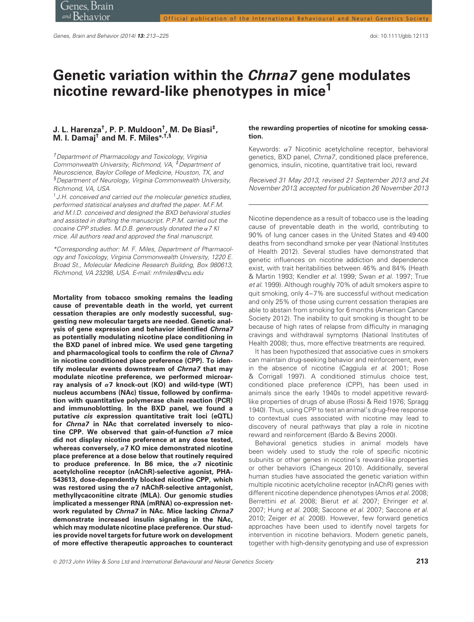# **Genetic variation within the Chrna7 gene modulates nicotine reward-like phenotypes in mice1**

## **J. L. Harenza†, P. P. Muldoon†, M. De Biasi‡, M. I. Damaj† and M. F. Miles∗,†,§**

†Department of Pharmacology and Toxicology, Virginia Commonwealth University, Richmond, VA, <sup>#D</sup>epartment of Neuroscience, Baylor College of Medicine, Houston, TX, and §Department of Neurology, Virginia Commonwealth University, Richmond, VA, USA

 $1$  J.H. conceived and carried out the molecular genetics studies, performed statistical analyses and drafted the paper. M.F.M. and M.I.D. conceived and designed the BXD behavioral studies and assisted in drafting the manuscript. P.P.M. carried out the cocaine CPP studies. M.D.B. generously donated the *α*<sup>7</sup> KI mice. All authors read and approved the final manuscript.

\*Corresponding author: M. F. Miles, Department of Pharmacology and Toxicology, Virginia Commonwealth University, 1220 E. Broad St., Molecular Medicine Research Building, Box 980613, Richmond, VA 23298, USA. E-mail: mfmiles@vcu.edu

**Mortality from tobacco smoking remains the leading cause of preventable death in the world, yet current cessation therapies are only modestly successful, suggesting new molecular targets are needed. Genetic analysis of gene expression and behavior identified Chrna7 as potentially modulating nicotine place conditioning in the BXD panel of inbred mice. We used gene targeting and pharmacological tools to confirm the role of Chrna7 in nicotine conditioned place preference (CPP). To identify molecular events downstream of Chrna7 that may modulate nicotine preference, we performed microarray analysis of** *α***7 knock-out (KO) and wild-type (WT) nucleus accumbens (NAc) tissue, followed by confirmation with quantitative polymerase chain reaction (PCR) and immunoblotting. In the BXD panel, we found a putative cis expression quantitative trait loci (eQTL) for Chrna7 in NAc that correlated inversely to nicotine CPP. We observed that gain-of-function** *α***7 mice did not display nicotine preference at any dose tested, whereas conversely,** *α***7 KO mice demonstrated nicotine place preference at a dose below that routinely required to produce preference. In B6 mice, the** *α***7 nicotinic acetylcholine receptor (nAChR)-selective agonist, PHA-543613, dose-dependently blocked nicotine CPP, which was restored using the** *α***7 nAChR-selective antagonist, methyllycaconitine citrate (MLA). Our genomic studies implicated a messenger RNA (mRNA) co-expression network regulated by Chrna7 in NAc. Mice lacking Chrna7 demonstrate increased insulin signaling in the NAc, which may modulate nicotine place preference. Our studies provide novel targets for future work on development of more effective therapeutic approaches to counteract**

## **the rewarding properties of nicotine for smoking cessation.**

Keywords: *α*7 Nicotinic acetylcholine receptor, behavioral genetics, BXD panel, Chrna7, conditioned place preference, genomics, insulin, nicotine, quantitative trait loci, reward

Received 31 May 2013, revised 21 September 2013 and 24 November 2013, accepted for publication 26 November 2013

Nicotine dependence as a result of tobacco use is the leading cause of preventable death in the world, contributing to 90% of lung cancer cases in the United States and 49 400 deaths from secondhand smoke per year (National Institutes of Health 2012). Several studies have demonstrated that genetic influences on nicotine addiction and dependence exist, with trait heritabilities between 46% and 84% (Heath & Martin 1993; Kendler et al. 1999; Swan et al. 1997; True et al. 1999). Although roughly 70% of adult smokers aspire to quit smoking, only 4–7% are successful without medication and only 25% of those using current cessation therapies are able to abstain from smoking for 6 months (American Cancer Society 2012). The inability to quit smoking is thought to be because of high rates of relapse from difficulty in managing cravings and withdrawal symptoms (National Institutes of Health 2008); thus, more effective treatments are required.

It has been hypothesized that associative cues in smokers can maintain drug-seeking behavior and reinforcement, even in the absence of nicotine (Caggiula et al. 2001; Rose Corrigall 1997). A conditioned stimulus choice test, conditioned place preference (CPP), has been used in animals since the early 1940s to model appetitive rewardlike properties of drugs of abuse (Rossi & Reid 1976; Spragg 1940). Thus, using CPP to test an animal's drug-free response to contextual cues associated with nicotine may lead to discovery of neural pathways that play a role in nicotine reward and reinforcement (Bardo & Bevins 2000).

Behavioral genetics studies in animal models have been widely used to study the role of specific nicotinic subunits or other genes in nicotine's reward-like properties or other behaviors (Changeux 2010). Additionally, several human studies have associated the genetic variation within multiple nicotinic acetylcholine receptor (nAChR) genes with different nicotine dependence phenotypes (Amos et al. 2008; Berrettini et al. 2008; Bierut et al. 2007; Ehringer et al. 2007; Hung et al. 2008; Saccone et al. 2007; Saccone et al. 2010; Zeiger et al. 2008). However, few forward genetics approaches have been used to identify novel targets for intervention in nicotine behaviors. Modern genetic panels, together with high-density genotyping and use of expression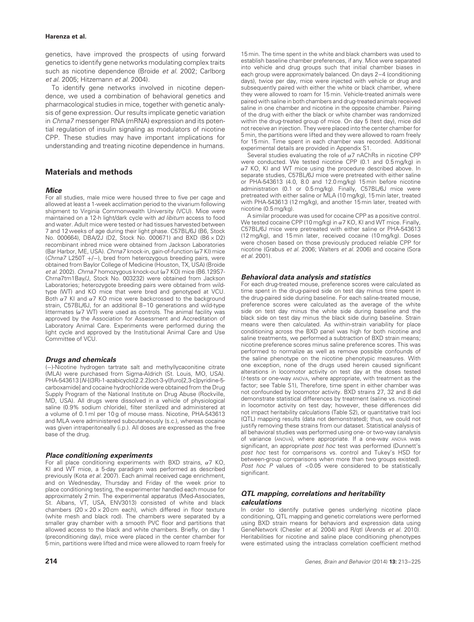genetics, have improved the prospects of using forward genetics to identify gene networks modulating complex traits such as nicotine dependence (Broide et al. 2002; Carlborg et al. 2005; Hitzemann et al. 2004).

To identify gene networks involved in nicotine dependence, we used a combination of behavioral genetics and pharmacological studies in mice, together with genetic analysis of gene expression. Our results implicate genetic variation in Chrna7 messenger RNA (mRNA) expression and its potential regulation of insulin signaling as modulators of nicotine CPP. These studies may have important implications for understanding and treating nicotine dependence in humans.

# **Materials and methods**

## **Mice**

For all studies, male mice were housed three to five per cage and allowed at least a 1-week acclimation period to the vivarium following shipment to Virginia Commonwealth University (VCU). Mice were maintained on a 12-h light/dark cycle with ad libitum access to food and water. Adult mice were tested or had tissues harvested between 7 and 12 weeks of age during their light phase. C57BL/6J (B6, Stock No. 000664), DBA/2J (D2, Stock No. 000671) and BXD (B6 × D2) recombinant inbred mice were obtained from Jackson Laboratories (Bar Harbor, ME, USA). Chrna7 knock-in, gain-of-function (*α*7 KI) mice (Chrna7 L250T +/−), bred from heterozygous breeding pairs, were obtained from Baylor College of Medicine (Houston, TX, USA) (Broide et al. 2002). Chrna7 homozygous knock-out (*α*7 KO) mice (B6.129S7- Chrna7tm1Bay/J, Stock No. 003232) were obtained from Jackson Laboratories; heterozygote breeding pairs were obtained from wildtype (WT) and KO mice that were bred and genotyped at VCU. Both *α*7 KI and *α*7 KO mice were backcrossed to the background strain, C57BL/6J, for an additional 8–10 generations and wild-type littermates (*α*7 WT) were used as controls. The animal facility was approved by the Association for Assessment and Accreditation of Laboratory Animal Care. Experiments were performed during the light cycle and approved by the Institutional Animal Care and Use Committee of VCU.

#### **Drugs and chemicals**

(−)-Nicotine hydrogen tartrate salt and methyllycaconitine citrate (MLA) were purchased from Sigma-Aldrich (St. Louis, MO, USA). PHA-543613 [N-[(3R)-1-azabicyclo[2.2.2]oct-3-yl]furo[2,3-c]pyridine-5 carboxamide] and cocaine hydrochloride were obtained from the Drug Supply Program of the National Institute on Drug Abuse (Rockville, MD, USA). All drugs were dissolved in a vehicle of physiological saline (0.9% sodium chloride), filter sterilized and administered at a volume of 0.1 ml per 10 g of mouse mass. Nicotine, PHA-543613 and MLA were administered subcutaneously (s.c.), whereas cocaine was given intraperitoneally (i.p.). All doses are expressed as the free base of the drug.

#### **Place conditioning experiments**

For all place conditioning experiments with BXD strains, *α*7 KO, KI and WT mice, a 5-day paradigm was performed as described previously (Kota et al. 2007). Each animal received cage enrichment, and on Wednesday, Thursday and Friday of the week prior to place conditioning testing, the experimenter handled each mouse for approximately 2 min. The experimental apparatus (Med-Associates, St. Albans, VT, USA, ENV3013) consisted of white and black chambers  $(20 \times 20 \times 20 \text{ cm}$  each), which differed in floor texture (white mesh and black rod). The chambers were separated by a smaller gray chamber with a smooth PVC floor and partitions that allowed access to the black and white chambers. Briefly, on day 1 (preconditioning day), mice were placed in the center chamber for 5 min, partitions were lifted and mice were allowed to roam freely for 15 min. The time spent in the white and black chambers was used to establish baseline chamber preferences, if any. Mice were separated into vehicle and drug groups such that initial chamber biases in each group were approximately balanced. On days 2–4 (conditioning days), twice per day, mice were injected with vehicle or drug and subsequently paired with either the white or black chamber, where they were allowed to roam for 15 min. Vehicle-treated animals were paired with saline in both chambers and drug-treated animals received saline in one chamber and nicotine in the opposite chamber. Pairing of the drug with either the black or white chamber was randomized within the drug-treated group of mice. On day 5 (test day), mice did not receive an injection. They were placed into the center chamber for 5 min, the partitions were lifted and they were allowed to roam freely for 15 min. Time spent in each chamber was recorded. Additional experimental details are provided in Appendix S1.

Several studies evaluating the role of *α*7 nAChRs in nicotine CPP were conducted. We tested nicotine CPP (0.1 and 0.5 mg/kg) in *α*7 KO, KI and WT mice using the procedure described above. In separate studies, C57BL/6J mice were pretreated with either saline or PHA-543613 (4.0, 8.0 and 12.0 mg/kg) 15 min before nicotine administration (0.1 or 0.5 mg/kg). Finally, C57BL/6J mice were pretreated with either saline or MLA (10 mg/kg), 15 min later, treated with PHA-543613 (12 mg/kg), and another 15 min later, treated with nicotine (0.5 mg/kg).

A similar procedure was used for cocaine CPP as a positive control. We tested cocaine CPP (10 mg/kg) in *α*7 KO, KI and WT mice. Finally, C57BL/6J mice were pretreated with either saline or PHA-543613 (12 mg/kg), and 15 min later, received cocaine (10 mg/kg). Doses were chosen based on those previously produced reliable CPP for nicotine (Grabus et al. 2006; Walters et al. 2006) and cocaine (Sora et al. 2001).

#### **Behavioral data analysis and statistics**

For each drug-treated mouse, preference scores were calculated as time spent in the drug-paired side on test day minus time spent in the drug-paired side during baseline. For each saline-treated mouse, preference scores were calculated as the average of the white side on test day minus the white side during baseline and the black side on test day minus the black side during baseline. Strain means were then calculated. As within-strain variability for place conditioning across the BXD panel was high for both nicotine and saline treatments, we performed a subtraction of BXD strain means; nicotine preference scores minus saline preference scores. This was performed to normalize as well as remove possible confounds of the saline phenotype on the nicotine phenotypic measures. With one exception, none of the drugs used herein caused significant alterations in locomotor activity on test day at the doses tested (t-tests or one-way ANOVA, where appropriate, with treatment as the factor; see Table S1), Therefore, time spent in either chamber was not confounded by locomotor activity. BXD strains 27, 32 and 8 did demonstrate statistical differences by treatment (saline vs. nicotine) in locomotor activity on test day; however, these differences did not impact heritability calculations (Table S2), or quantitative trait loci (QTL) mapping results (data not demonstrated); thus, we could not justify removing these strains from our dataset. Statistical analysis of all behavioral studies was performed using one- or two-way Eanalysis of variance (ANOVA), where appropriate. If a one-way ANOVA was significant, an appropriate post hoc test was performed (Dunnett's post hoc test for comparisons vs. control and Tukey's HSD for between-group comparisons when more than two groups existed). Post hoc P values of *<*0.05 were considered to be statistically significant

## **QTL mapping, correlations and heritability calculations**

In order to identify putative genes underlying nicotine place conditioning, QTL mapping and genetic correlations were performed using BXD strain means for behaviors and expression data using GeneNetwork (Chesler et al. 2004) and R/qtl (Arends et al. 2010). Heritabilities for nicotine and saline place conditioning phenotypes were estimated using the intraclass correlation coefficient method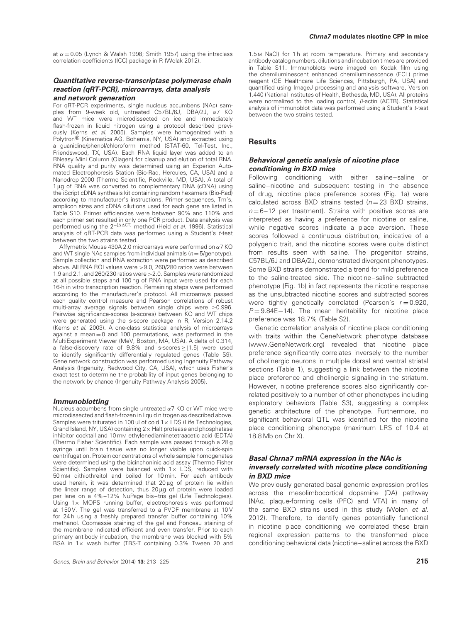at  $\alpha = 0.05$  (Lynch & Walsh 1998; Smith 1957) using the intraclass correlation coefficients (ICC) package in R (Wolak 2012).

## **Quantitative reverse-transcriptase polymerase chain reaction (qRT-PCR), microarrays, data analysis and network generation**

For qRT-PCR experiments, single nucleus accumbens (NAc) samples from 9-week old, untreated C57BL/6J, DBA/2J, *α*7 KO and WT mice were microdissected on ice and immediately flash-frozen in liquid nitrogen using a protocol described previously (Kerns et al. 2005). Samples were homogenized with a Polytron® (Kinematica AG, Bohemia, NY, USA) and extracted using a guanidine/phenol/chloroform method (STAT-60, Tel-Test, Inc., Friendswood, TX, USA). Each RNA liquid layer was added to an RNeasy Mini Column (Qiagen) for cleanup and elution of total RNA. RNA quality and purity was determined using an Experion Automated Electrophoresis Station (Bio-Rad, Hercules, CA, USA) and a Nanodrop 2000 (Thermo Scientific, Rockville, MD, USA). A total of 1 μg of RNA was converted to complementary DNA (cDNA) using the iScript cDNA synthesis kit containing random hexamers (Bio-Rad) according to manufacturer's instructions. Primer sequences, Tm's, amplicon sizes and cDNA dilutions used for each gene are listed in Table S10. Primer efficiencies were between 90% and 110% and each primer set resulted in only one PCR product. Data analysis was<br>performed using the 2<sup>−[∆∆CT]</sup> method (Heid *et al.* 1996). Statistical analysis of qRT-PCR data was performed using a Student's <sup>t</sup>-test between the two strains tested.

Affymetrix Mouse 430A 2.0 microarrays were performed on *α*7 KO and WT single NAc samples from individual animals  $(n = 5$ /genotype). Sample collection and RNA extraction were performed as described above. All RNA RQI values were *>*9.0, 260/280 ratios were between 1.9 and 2.1, and 260/230 ratios were *>*2.0. Samples were randomized at all possible steps and 100 ng of RNA input were used for each 16-h in vitro transcription reaction. Remaining steps were performed according to the manufacturer's protocol. All microarrays passed each quality control measure and Pearson correlations of robust multi-array average signals between single chips were ≥0.996. Pairwise significance-scores (s-scores) between KO and WT chips were generated using the s-score package in R, Version 2.14.2 (Kerns et al. 2003). A one-class statistical analysis of microarrays against a mean = 0 and 100 permutations, was performed in the MultiExperiment Viewer (MeV, Boston, MA, USA). A delta of 0.314, a false-discovery rate of 9.8% and s-scores ≥|1.5| were used to identify significantly differentially regulated genes (Table S9). Gene network construction was performed using Ingenuity Pathway Analysis (Ingenuity, Redwood City, CA, USA), which uses Fisher's exact test to determine the probability of input genes belonging to the network by chance (Ingenuity Pathway Analysis 2005).

#### **Immunoblotting**

Nucleus accumbens from single untreated *α*7 KO or WT mice were microdissected and flash-frozen in liquid nitrogen as described above. Samples were triturated in 100 ul of cold  $1 \times$  LDS (Life Technologies, Grand Island, NY, USA) containing  $2 \times$  Halt protease and phosphatase inhibitor cocktail and 10 mm ethylenediaminetetraacetic acid (EDTA) (Thermo Fisher Scientific). Each sample was passed through a 28 g syringe until brain tissue was no longer visible upon quick-spin centrifugation. Protein concentrations of whole sample homogenates were determined using the bicinchoninic acid assay (Thermo Fisher Scientific). Samples were balanced with  $1 \times$  LDS, reduced with 50 mM dithiothreitol and boiled for 10 min. For each antibody used herein, it was determined that 20 μg of protein lie within the linear range of detection, thus 20 μg of protein were loaded per lane on a 4%–12% NuPage bis–tris gel (Life Technologies). Using  $1\times$  MOPS running buffer, electrophoresis was performed at 150 V. The gel was transferred to a PVDF membrane at 10 V for 24 h using a freshly prepared transfer buffer containing 10% methanol. Coomassie staining of the gel and Ponceau staining of the membrane indicated efficient and even transfer. Prior to each primary antibody incubation, the membrane was blocked with 5% BSA in  $1 \times$  wash buffer (TBS-T containing 0.3% Tween 20 and

#### **Chrna7 modulates nicotine CPP in mice**

1.5 M NaCl) for 1 h at room temperature. Primary and secondary antibody catalog numbers, dilutions and incubation times are provided in Table S11. Immunoblots were imaged on Kodak film using the chemiluminescent enhanced chemiluminescence (ECL) prime reagent (GE Healthcare Life Sciences, Pittsburgh, PA, USA) and quantified using ImageJ processing and analysis software, Version 1.440 (National Institutes of Health, Bethesda, MD, USA). All proteins were normalized to the loading control, *β*-actin (ACTB). Statistical analysis of immunoblot data was performed using a Student's <sup>t</sup>-test between the two strains tested.

## **Results**

## **Behavioral genetic analysis of nicotine place conditioning in BXD mice**

Following conditioning with either saline–saline or saline–nicotine and subsequent testing in the absence of drug, nicotine place preference scores (Fig. 1a) were calculated across BXD strains tested ( $n = 23$  BXD strains,  $n = 6 - 12$  per treatment). Strains with positive scores are interpreted as having a preference for nicotine or saline, while negative scores indicate a place aversion. These scores followed a continuous distribution, indicative of a polygenic trait, and the nicotine scores were quite distinct from results seen with saline. The progenitor strains, C57BL/6J and DBA/2J, demonstrated divergent phenotypes. Some BXD strains demonstrated a trend for mild preference to the saline-treated side. The nicotine–saline subtracted phenotype (Fig. 1b) in fact represents the nicotine response as the unsubtracted nicotine scores and subtracted scores were tightly genetically correlated (Pearson's  $r = 0.920$ ,  $P = 9.84E-14$ ). The mean heritability for nicotine place preference was 18.7% (Table S2).

Genetic correlation analysis of nicotine place conditioning with traits within the GeneNetwork phenotype database (www.GeneNetwork.org) revealed that nicotine place preference significantly correlates inversely to the number of cholinergic neurons in multiple dorsal and ventral striatal sections (Table 1), suggesting a link between the nicotine place preference and cholinergic signaling in the striatum. However, nicotine preference scores also significantly correlated positively to a number of other phenotypes including exploratory behaviors (Table S3), suggesting a complex genetic architecture of the phenotype. Furthermore, no significant behavioral QTL was identified for the nicotine place conditioning phenotype (maximum LRS of 10.4 at 18.8 Mb on Chr X).

## **Basal Chrna7 mRNA expression in the NAc is inversely correlated with nicotine place conditioning in BXD mice**

We previously generated basal genomic expression profiles across the mesolimbocortical dopamine (DA) pathway [NAc, plaque-forming cells (PFC) and VTA] in many of the same BXD strains used in this study (Wolen et al. 2012). Therefore, to identify genes potentially functional in nicotine place conditioning we correlated these brain regional expression patterns to the transformed place conditioning behavioral data (nicotine–saline) across the BXD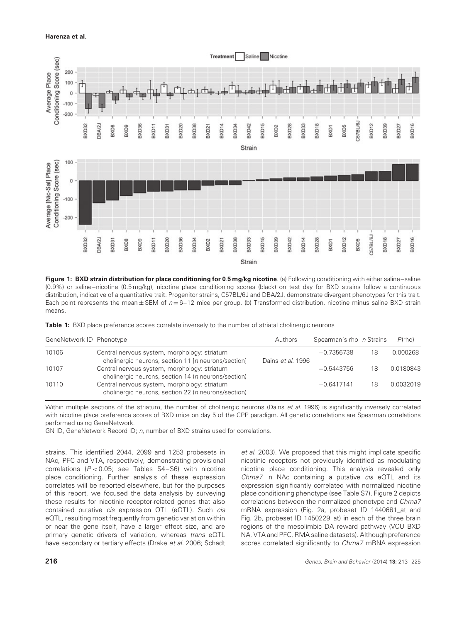

**Figure 1: BXD strain distribution for place conditioning for 0**.**5 mg**/**kg nicotine**. (a) Following conditioning with either saline–saline (0.9%) or saline–nicotine (0.5 mg/kg), nicotine place conditioning scores (black) on test day for BXD strains follow a continuous distribution, indicative of a quantitative trait. Progenitor strains, C57BL/6J and DBA/2J, demonstrate divergent phenotypes for this trait. Each point represents the mean  $\pm$  SEM of  $n = 6-12$  mice per group. (b) Transformed distribution, nicotine minus saline BXD strain means.

|  | Table 1: BXD place preference scores correlate inversely to the number of striatal cholinergic neurons |  |  |  |  |  |
|--|--------------------------------------------------------------------------------------------------------|--|--|--|--|--|
|  |                                                                                                        |  |  |  |  |  |

| GeneNetwork ID Phenotype |                                                                                                             | Authors           | Spearman's rho n Strains |    | $P$ (rho) |
|--------------------------|-------------------------------------------------------------------------------------------------------------|-------------------|--------------------------|----|-----------|
| 10106                    | Central nervous system, morphology: striatum<br>cholinergic neurons, section 11 [n neurons/section]         | Dains et al. 1996 | $-0.7356738$             | 18 | 0.000268  |
| 10107                    | Central nervous system, morphology: striatum<br>cholinergic neurons, section 14 ( <i>n</i> neurons/section) |                   | $-0.5443756$             | 18 | 0.0180843 |
| 10110                    | Central nervous system, morphology: striatum<br>cholinergic neurons, section 22 ( <i>n</i> neurons/section) |                   | $-0.6417141$             | 18 | 0.0032019 |

Within multiple sections of the striatum, the number of cholinergic neurons (Dains et al. 1996) is significantly inversely correlated with nicotine place preference scores of BXD mice on day 5 of the CPP paradigm. All genetic correlations are Spearman correlations performed using GeneNetwork.

GN ID, GeneNetwork Record ID; <sup>n</sup>, number of BXD strains used for correlations.

strains. This identified 2044, 2099 and 1253 probesets in NAc, PFC and VTA, respectively, demonstrating provisional correlations (P *<* 0.05; see Tables S4–S6) with nicotine place conditioning. Further analysis of these expression correlates will be reported elsewhere, but for the purposes of this report, we focused the data analysis by surveying these results for nicotinic receptor-related genes that also contained putative cis expression QTL (eQTL). Such cis eQTL, resulting most frequently from genetic variation within or near the gene itself, have a larger effect size, and are primary genetic drivers of variation, whereas trans eQTL have secondary or tertiary effects (Drake et al. 2006; Schadt et al. 2003). We proposed that this might implicate specific nicotinic receptors not previously identified as modulating nicotine place conditioning. This analysis revealed only Chrna7 in NAc containing a putative cis eQTL and its expression significantly correlated with normalized nicotine place conditioning phenotype (see Table S7). Figure 2 depicts correlations between the normalized phenotype and Chrna7 mRNA expression (Fig. 2a, probeset ID 1440681\_at and Fig. 2b, probeset ID 1450229\_at) in each of the three brain regions of the mesolimbic DA reward pathway (VCU BXD NA, VTA and PFC, RMA saline datasets). Although preference scores correlated significantly to Chrna7 mRNA expression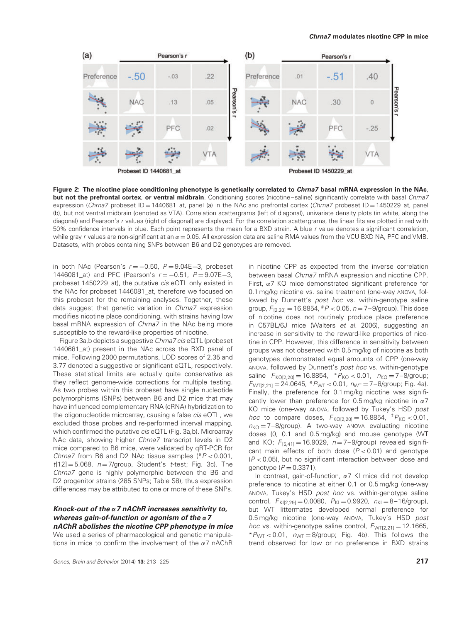

**Figure 2: The nicotine place conditioning phenotype is genetically correlated to Chrna7 basal mRNA expression in the NAc**, **but not the prefrontal cortex, or ventral midbrain.** Conditioning scores (nicotine–saline) significantly correlate with basal Chrna7 expression (Chrna7 probeset  $ID = 1440681$  at, panel (a) in the NAc and prefrontal cortex (Chrna7 probeset  $ID = 1450229$  at, panel (b), but not ventral midbrain (denoted as VTA). Correlation scattergrams (left of diagonal), univariate density plots (in white, along the diagonal) and Pearson's <sup>r</sup> values (right of diagonal) are displayed. For the correlation scattergrams, the linear fits are plotted in red with 50% confidence intervals in blue. Each point represents the mean for a BXD strain. A blue <sup>r</sup> value denotes a significant correlation, while gray *r* values are non-significant at an  $\alpha$  = 0.05. All expression data are saline RMA values from the VCU BXD NA, PFC and VMB. Datasets, with probes containing SNPs between B6 and D2 genotypes are removed.

in both NAc (Pearson's  $r = -0.50$ ,  $P = 9.04E-3$ , probeset 1446081\_at) and PFC (Pearson's r = -0.51, P = 9.07E-3, probeset 1450229\_at), the putative cis eQTL only existed in the NAc for probeset 1446081\_at, therefore we focused on this probeset for the remaining analyses. Together, these data suggest that genetic variation in *Chrna7* expression modifies nicotine place conditioning, with strains having low basal mRNA expression of *Chrna7* in the NAc being more susceptible to the reward-like properties of nicotine.

Figure 3a,b depicts a suggestive Chrna7 cis eQTL (probeset 1440681\_at) present in the NAc across the BXD panel of mice. Following 2000 permutations, LOD scores of 2.35 and 3.77 denoted a suggestive or significant eQTL, respectively. These statistical limits are actually quite conservative as they reflect genome-wide corrections for multiple testing. As two probes within this probeset have single nucleotide polymorphisms (SNPs) between B6 and D2 mice that may have influenced complementary RNA (cRNA) hybridization to the oligonucleotide microarray, causing a false cis eQTL, we excluded those probes and re-performed interval mapping, which confirmed the putative *cis* eQTL (Fig. 3a,b). Microarray NAc data, showing higher Chrna7 transcript levels in D2 mice compared to B6 mice, were validated by qRT-PCR for Chrna7 from B6 and D2 NAc tissue samples (\*P *<* 0.001,  $t[12] = 5.068$ ,  $n = 7$ /group, Student's t-test; Fig. 3c). The Chrna7 gene is highly polymorphic between the B6 and D2 progenitor strains (285 SNPs; Table S8), thus expression differences may be attributed to one or more of these SNPs.

## **Knock-out of the** *α***<sup>7</sup> nAChR increases sensitivity to, whereas gain-of-function or agonism of the** *α***<sup>7</sup> nAChR abolishes the nicotine CPP phenotype in mice**

We used a series of pharmacological and genetic manipulations in mice to confirm the involvement of the *α*7 nAChR

in nicotine CPP as expected from the inverse correlation between basal Chrna7 mRNA expression and nicotine CPP. First, *α*7 KO mice demonstrated significant preference for 0.1 mg/kg nicotine vs. saline treatment (one-way ANOVA, followed by Dunnett's post hoc vs. within-genotype saline group,  $F_{[2,20]} = 16.8854$ ,  $^{*}P < 0.05$ ,  $n = 7-9$ /group). This dose of nicotine does not routinely produce place preference in C57BL/6J mice (Walters et al. 2006), suggesting an increase in sensitivity to the reward-like properties of nicotine in CPP. However, this difference in sensitivity between groups was not observed with 0.5 mg/kg of nicotine as both genotypes demonstrated equal amounts of CPP (one-way ANOVA, followed by Dunnett's post hoc vs. within-genotype saline  $F_{KO[2,20]} = 16.8854$ ,  $*P_{KO} < 0.01$ ,  $n_{KO} = 7-8$ /group;  $F_{\text{WT}[2,21]} = 24.0645$ ,  $*P_{\text{WT}} < 0.01$ ,  $n_{\text{WT}} = 7-8$ /group; Fig. 4a). Finally, the preference for 0.1 mg/kg nicotine was significantly lower than preference for 0.5 mg/kg nicotine in *α*7 KO mice (one-way ANOVA, followed by Tukey's HSD post *hoc* to compare doses,  $F_{KO[2,20]} = 16.8854$ ,  $^{*}P_{KO} < 0.01$ ,  $n_{\text{KO}} = 7-8$ /group). A two-way ANOVA evaluating nicotine doses (0, 0.1 and 0.5 mg/kg) and mouse genotype (WT and KO;  $F_{[5,41]} = 16.9029$ ,  $n = 7-9$ /group) revealed significant main effects of both dose (P *<* 0.01) and genotype (P *<* 0.05), but no significant interaction between dose and genotype  $(P = 0.3371)$ .

In contrast, gain-of-function, *α*7 KI mice did not develop preference to nicotine at either 0.1 or 0.5 mg/kg (one-way ANOVA, Tukey's HSD post hoc vs. within-genotype saline control,  $F_{\text{KII2.29}} = 0.0080$ ,  $P_{\text{KI}} = 0.9920$ ,  $n_{\text{KI}} = 8-16/\text{group}$ , but WT littermates developed normal preference for 0.5 mg/kg nicotine (one-way ANOVA, Tukey's HSD post hoc vs. within-genotype saline control,  $F_{\text{WT[2,21]}} = 12.1665$ ,  $*P_{\text{WT}}$  < 0.01,  $n_{\text{WT}}$  = 8/group; Fig. 4b). This follows the trend observed for low or no preference in BXD strains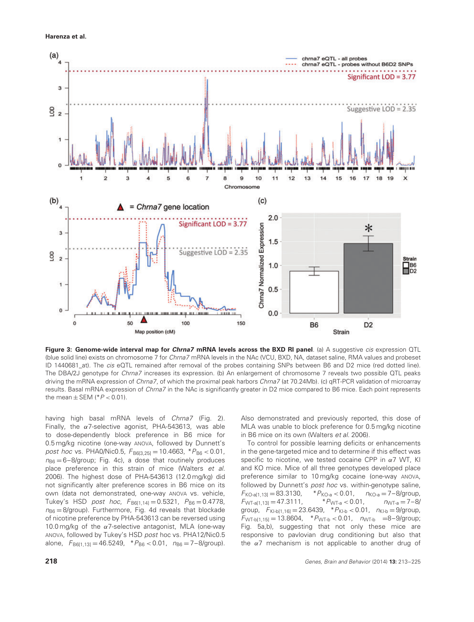

**Figure 3: Genome-wide interval map for Chrna7 mRNA levels across the BXD RI panel**. (a) A suggestive cis expression QTL (blue solid line) exists on chromosome 7 for Chrna7 mRNA levels in the NAc (VCU, BXD, NA, dataset saline, RMA values and probeset ID 1440681 at). The cis eQTL remained after removal of the probes containing SNPs between B6 and D2 mice (red dotted line). The DBA/2J genotype for Chrna7 increases its expression. (b) An enlargement of chromosome 7 reveals two possible QTL peaks driving the mRNA expression of Chrna7, of which the proximal peak harbors Chrna7 (at 70.24Mb). (c) qRT-PCR validation of microarray results. Basal mRNA expression of Chrna7 in the NAc is significantly greater in D2 mice compared to B6 mice. Each point represents the mean  $\pm$  SEM ( $*P < 0.01$ ).

having high basal mRNA levels of Chrna7 (Fig. 2). Finally, the *α*7-selective agonist, PHA-543613, was able to dose-dependently block preference in B6 mice for 0.5 mg/kg nicotine (one-way ANOVA, followed by Dunnett's post hoc vs. PHA0/Nic0.5,  $F_{B6[3,25]} = 10.4663$ ,  $*P_{B6} < 0.01$ ,  $n_{\text{BB}} = 6-8$ /group; Fig. 4c), a dose that routinely produces place preference in this strain of mice (Walters et al. 2006). The highest dose of PHA-543613 (12.0 mg/kg) did not significantly alter preference scores in B6 mice on its own (data not demonstrated, one-way ANOVA vs. vehicle, Tukey's HSD post hoc,  $F_{B6[1,14]} = 0.5321$ ,  $P_{B6} = 0.4778$ ,  $n_{B6} = 8$ /group). Furthermore, Fig. 4d reveals that blockade of nicotine preference by PHA-543613 can be reversed using 10.0 mg/kg of the *α*7-selective antagonist, MLA (one-way ANOVA, followed by Tukey's HSD post hoc vs. PHA12/Nic0.5 alone,  $F_{B6[1,13]} = 46.5249$ ,  $*P_{B6} < 0.01$ ,  $n_{B6} = 7-8$ /group).

Also demonstrated and previously reported, this dose of MLA was unable to block preference for 0.5 mg/kg nicotine in B6 mice on its own (Walters et al. 2006).

To control for possible learning deficits or enhancements in the gene-targeted mice and to determine if this effect was specific to nicotine, we tested cocaine CPP in *α*7 WT, KI and KO mice. Mice of all three genotypes developed place preference similar to 10 mg/kg cocaine (one-way ANOVA, followed by Dunnett's post hoc vs. within-genotype saline,  $F_{\text{KO-a}[1,13]} = 83.3130,$   $*P_{\text{KO-a}} < 0.01,$   $n_{\text{KO-a}} = 7-8/\text{group},$ <br>  $F_{\text{WT-a}[1,13]} = 47.3111,$   $*P_{\text{WT-a}} < 0.01,$   $n_{\text{WT-a}} = 7-8/\text{group},$  $F_{WT-a[1,13]} = 47.3111,$ group,  $F_{\text{K1-b}[1,16]} = 23.6439$ ,  $*P_{\text{K1-b}} < 0.01$ ,  $n_{\text{K1-b}} = 9$ /group,  $F_{\text{WT-b}[1,15]} = 13.8604$ ,  $*P_{\text{WT-b}} < 0.01$ ,  $n_{\text{WT-b}} = 8-9/\text{group}$ ; Fig. 5a,b), suggesting that not only these mice are responsive to pavlovian drug conditioning but also that the *α*7 mechanism is not applicable to another drug of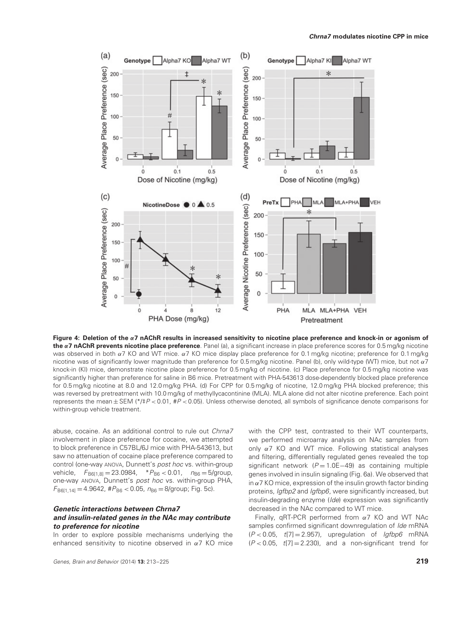![](_page_6_Figure_1.jpeg)

**Figure 4: Deletion of the** *α***7 nAChR results in increased sensitivity to nicotine place preference and knock-in or agonism of the** *α***7 nAChR prevents nicotine place preference**. Panel (a), a significant increase in place preference scores for 0.5 mg/kg nicotine was observed in both *α*7 KO and WT mice. *α*7 KO mice display place preference for 0.1 mg/kg nicotine; preference for 0.1 mg/kg nicotine was of significantly lower magnitude than preference for 0.5 mg/kg nicotine. Panel (b), only wild-type (WT) mice, but not *α*7 knock-in (KI) mice, demonstrate nicotine place preference for 0.5 mg/kg of nicotine. (c) Place preference for 0.5 mg/kg nicotine was significantly higher than preference for saline in B6 mice. Pretreatment with PHA-543613 dose-dependently blocked place preference for 0.5 mg/kg nicotine at 8.0 and 12.0 mg/kg PHA. (d) For CPP for 0.5 mg/kg of nicotine, 12.0 mg/kg PHA blocked preference; this was reversed by pretreatment with 10.0 mg/kg of methyllycacontinine (MLA). MLA alone did not alter nicotine preference. Each point represents the mean ± SEM (\*/‡<sup>P</sup> *<* 0.01, #<sup>P</sup> *<* 0.05). Unless otherwise denoted, all symbols of significance denote comparisons for within-group vehicle treatment.

abuse, cocaine. As an additional control to rule out Chrna7 involvement in place preference for cocaine, we attempted to block preference in C57BL/6J mice with PHA-543613, but saw no attenuation of cocaine place preference compared to control (one-way ANOVA, Dunnett's post hoc vs. within-group vehicle,  $F_{B6[1,8]} = 23.0984$ ,  $*P_{B6} < 0.01$ ,  $n_{B6} = 5$ /group, one-way ANOVA, Dunnett's post hoc vs. within-group PHA,  $F_{\text{B6}[1,14]} = 4.9642$ ,  $\#P_{\text{B6}} < 0.05$ ,  $n_{\text{B6}} = 8/\text{group}$ ; Fig. 5c).

## **Genetic interactions between Chrna7 and insulin-related genes in the NAc may contribute to preference for nicotine**

In order to explore possible mechanisms underlying the enhanced sensitivity to nicotine observed in *α*7 KO mice with the CPP test, contrasted to their WT counterparts, we performed microarray analysis on NAc samples from only *α*7 KO and WT mice. Following statistical analyses and filtering, differentially regulated genes revealed the top significant network ( $P = 1.0E-49$ ) as containing multiple genes involved in insulin signaling (Fig. 6a). We observed that in *α*7 KO mice, expression of the insulin growth factor binding proteins, *Igfbp2* and *Igfbp6*, were significantly increased, but insulin-degrading enzyme (Ide) expression was significantly decreased in the NAc compared to WT mice.

Finally, qRT-PCR performed from *α*7 KO and WT NAc samples confirmed significant downregulation of Ide mRNA (<sup>P</sup> *<* 0.05, <sup>t</sup>[7] = 2.957), upregulation of Igfbp6 mRNA  $(P < 0.05, t[7] = 2.230)$ , and a non-significant trend for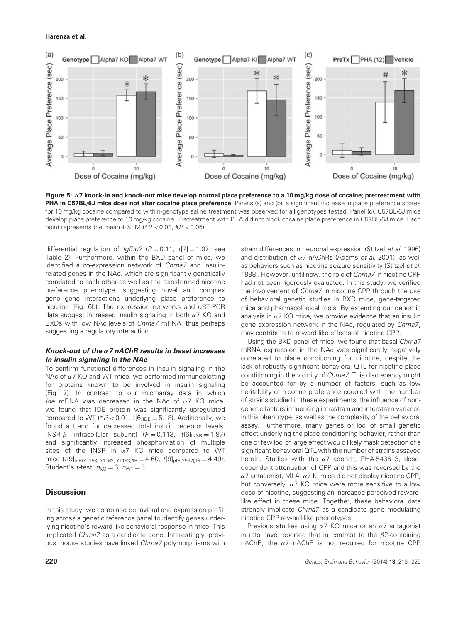![](_page_7_Figure_1.jpeg)

**Figure 5:** *α***7 knock-in and knock-out mice develop normal place preference to a 10 mg**/**kg dose of cocaine**; **pretreatment with PHA in C57BL**/**6J mice does not alter cocaine place preference**. Panels (a) and (b), a significant increase in place preference scores for 10 mg/kg cocaine compared to within-genotype saline treatment was observed for all genotypes tested. Panel (c), C57BL/6J mice develop place preference to 10 mg/kg cocaine. Pretreatment with PHA did not block cocaine place preference in C57BL/6J mice. Each point represents the mean ± SEM (\*<sup>P</sup> *<* 0.01, #<sup>P</sup> *<* 0.05).

differential regulation of  $lgfbp2$  ( $P = 0.11$ ,  $t[7] = 1.07$ ; see Table 2). Furthermore, within the BXD panel of mice, we identified a co-expression network of Chrna7 and insulinrelated genes in the NAc, which are significantly genetically correlated to each other as well as the transformed nicotine preference phenotype, suggesting novel and complex gene–gene interactions underlying place preference to nicotine (Fig. 6b). The expression networks and qRT-PCR data suggest increased insulin signaling in both *α*7 KO and BXDs with low NAc levels of Chrna7 mRNA, thus perhaps suggesting a regulatory interaction.

## **Knock-out of the** *α***<sup>7</sup> nAChR results in basal increases in insulin signaling in the NAc**

To confirm functional differences in insulin signaling in the NAc of *α*7 KO and WT mice, we performed immunoblotting for proteins known to be involved in insulin signaling (Fig. 7). In contrast to our microarray data in which Ide mRNA was decreased in the NAc of *α*7 KO mice, we found that IDE protein was significantly upregulated compared to WT ( $P < 0.01$ ,  $t[6]_{\text{IDE}} = 5.18$ ). Additionally, we found a trend for decreased total insulin receptor levels, INSR- $\beta$  (intracellular subunit) ( $P = 0.113$ ,  $t[6]_{\text{INSR}} = 1.87$ ) and significantly increased phosphorylation of multiple sites of the INSR in *α*7 KO mice compared to WT mice  $(t[9]_{pIR(Y1158, Y1162, Y1163)/IR} = 4.60, t[9]_{pIR(Y932)/IR} = 4.49$ Student's t-test,  $n_{\text{KO}} = 6$ ,  $n_{\text{WT}} = 5$ .

# **Discussion**

In this study, we combined behavioral and expression profiling across a genetic reference panel to identify genes underlying nicotine's reward-like behavioral response in mice. This implicated Chrna7 as a candidate gene. Interestingly, previous mouse studies have linked Chrna7 polymorphisms with strain differences in neuronal expression (Stitzel et al. 1996) and distribution of *α*7 nAChRs (Adams et al. 2001), as well as behaviors such as nicotine seizure sensitivity (Stitzel et al. 1998). However, until now, the role of Chrna7 in nicotine CPP had not been rigorously evaluated. In this study, we verified the involvement of *Chrna7* in nicotine CPP through the use of behavioral genetic studies in BXD mice, gene-targeted mice and pharmacological tools. By extending our genomic analysis in *α*7 KO mice, we provide evidence that an insulin gene expression network in the NAc, regulated by Chrna7, may contribute to reward-like effects of nicotine CPP.

Using the BXD panel of mice, we found that basal Chrna7 mRNA expression in the NAc was significantly negatively correlated to place conditioning for nicotine, despite the lack of robustly significant behavioral QTL for nicotine place conditioning in the vicinity of Chrna7. This discrepancy might be accounted for by a number of factors, such as low heritability of nicotine preference coupled with the number of strains studied in these experiments, the influence of nongenetic factors influencing intrastrain and interstrain variance in this phenotype, as well as the complexity of the behavioral assay. Furthermore, many genes or loci of small genetic effect underlying the place conditioning behavior, rather than one or few loci of large effect would likely mask detection of a significant behavioral QTL with the number of strains assayed herein. Studies with the *α*7 agonist, PHA-543613, dosedependent attenuation of CPP and this was reversed by the *α*7 antagonist, MLA. *α*7 KI mice did not display nicotine CPP, but conversely, *α*7 KO mice were more sensitive to a low dose of nicotine, suggesting an increased perceived rewardlike effect in these mice. Together, these behavioral data strongly implicate Chrna7 as a candidate gene modulating nicotine CPP reward-like phenotypes.

Previous studies using *α*7 KO mice or an *α*7 antagonist in rats have reported that in contrast to the *β*2-containing nAChR, the *α*7 nAChR is not required for nicotine CPP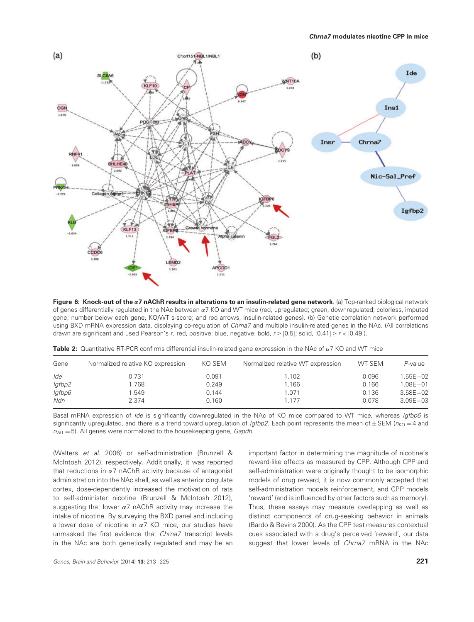![](_page_8_Figure_1.jpeg)

**Figure 6: Knock-out of the** *α***7 nAChR results in alterations to an insulin-related gene network**. (a) Top-ranked biological network of genes differentially regulated in the NAc between *α*7 KO and WT mice (red, upregulated; green, downregulated; colorless, imputed gene; number below each gene, KO/WT s-score; and red arrows, insulin-related genes). (b) Genetic correlation network performed using BXD mRNA expression data, displaying co-regulation of *Chrna7* and multiple insulin-related genes in the NAc. (All correlations drawn are significant and used Pearson's <sup>r</sup>, red, positive; blue, negative; bold, <sup>r</sup> ≥|0.5|; solid, |0.41| ≥ <sup>r</sup> *<* |0.49|).

| Gene   | Normalized relative KO expression | KO SEM | Normalized relative WT expression | WT SEM | P-value      |
|--------|-----------------------------------|--------|-----------------------------------|--------|--------------|
| lde    | 0.731                             | 0.091  | 1.102                             | 0.096  | $1.55E - 02$ |
| lgfbp2 | .768                              | 0.249  | 1.166                             | 0.166  | $1.08E - 01$ |
| lgfbp6 | 1.549                             | 0.144  | 1.071                             | 0.136  | $3.58E - 02$ |
| Ndn    | 2.374                             | 0.160  | 1 177                             | 0.078  | $3.09E - 03$ |

|  |  |  |  |  | <b>Table 2:</b> Quantitative RT-PCR confirms differential insulin-related gene expression in the NAc of $\alpha$ 7 KO and WT mice |  |  |  |  |  |  |  |  |
|--|--|--|--|--|-----------------------------------------------------------------------------------------------------------------------------------|--|--|--|--|--|--|--|--|
|--|--|--|--|--|-----------------------------------------------------------------------------------------------------------------------------------|--|--|--|--|--|--|--|--|

Basal mRNA expression of Ide is significantly downregulated in the NAc of KO mice compared to WT mice, whereas Igfbp6 is significantly upregulated, and there is a trend toward upregulation of Igfbp2. Each point represents the mean of  $\pm$  SEM ( $n_{K0}$  = 4 and  $n_{\text{WT}} = 5$ ). All genes were normalized to the housekeeping gene, Gapdh.

(Walters et al. 2006) or self-administration (Brunzell & McIntosh 2012), respectively. Additionally, it was reported that reductions in *α*7 nAChR activity because of antagonist administration into the NAc shell, as well as anterior cingulate cortex, dose-dependently increased the motivation of rats to self-administer nicotine (Brunzell & McIntosh 2012), suggesting that lower *α*7 nAChR activity may increase the intake of nicotine. By surveying the BXD panel and including a lower dose of nicotine in *α*7 KO mice, our studies have unmasked the first evidence that Chrna7 transcript levels in the NAc are both genetically regulated and may be an

important factor in determining the magnitude of nicotine's reward-like effects as measured by CPP. Although CPP and self-administration were originally thought to be isomorphic models of drug reward, it is now commonly accepted that self-administration models reinforcement, and CPP models 'reward' (and is influenced by other factors such as memory). Thus, these assays may measure overlapping as well as distinct components of drug-seeking behavior in animals (Bardo & Bevins 2000). As the CPP test measures contextual cues associated with a drug's perceived 'reward', our data suggest that lower levels of Chrna7 mRNA in the NAc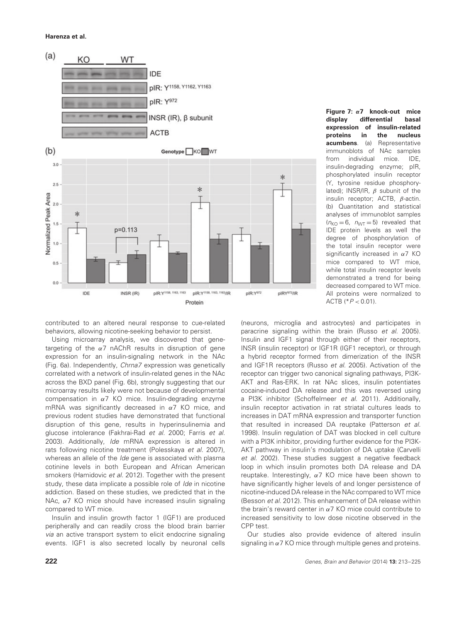![](_page_9_Figure_1.jpeg)

**Figure 7:** *α***7 knock-out mice display differential basal expression of insulin-related proteins in the nucleus**<br>**acumbens**. (a) Representative **acumbens**. (a) immunoblots of NAc samples from individual mice. IDE, insulin-degrading enzyme; pIR, phosphorylated insulin receptor (Y, tyrosine residue phosphorylated); INSR/IR, *β* subunit of the insulin receptor; ACTB, *β*-actin. (b) Quantitation and statistical analyses of immunoblot samples  $(n_{\text{KO}} = 6, n_{\text{WT}} = 5)$  revealed that IDE protein levels as well the degree of phosphorylation of the total insulin receptor were significantly increased in *α*7 KO mice compared to WT mice, while total insulin receptor levels demonstrated a trend for being decreased compared to WT mice. All proteins were normalized to ACTB (\*P *<* 0.01).

contributed to an altered neural response to cue-related behaviors, allowing nicotine-seeking behavior to persist.

Using microarray analysis, we discovered that genetargeting of the *α*7 nAChR results in disruption of gene expression for an insulin-signaling network in the NAc (Fig. 6a). Independently, Chrna7 expression was genetically correlated with a network of insulin-related genes in the NAc across the BXD panel (Fig. 6b), strongly suggesting that our microarray results likely were not because of developmental compensation in *α*7 KO mice. Insulin-degrading enzyme mRNA was significantly decreased in *α*7 KO mice, and previous rodent studies have demonstrated that functional disruption of this gene, results in hyperinsulinemia and glucose intolerance (Fakhrai-Rad et al. 2000; Farris et al. 2003). Additionally, Ide mRNA expression is altered in rats following nicotine treatment (Polesskaya et al. 2007), whereas an allele of the *Ide* gene is associated with plasma cotinine levels in both European and African American smokers (Hamidovic et al. 2012). Together with the present study, these data implicate a possible role of *Ide* in nicotine addiction. Based on these studies, we predicted that in the NAc, *α*7 KO mice should have increased insulin signaling compared to WT mice.

Insulin and insulin growth factor 1 (IGF1) are produced peripherally and can readily cross the blood brain barrier via an active transport system to elicit endocrine signaling events. IGF1 is also secreted locally by neuronal cells (neurons, microglia and astrocytes) and participates in paracrine signaling within the brain (Russo et al. 2005). Insulin and IGF1 signal through either of their receptors, INSR (insulin receptor) or IGF1R (IGF1 receptor), or through a hybrid receptor formed from dimerization of the INSR and IGF1R receptors (Russo et al. 2005). Activation of the receptor can trigger two canonical signaling pathways, PI3K-AKT and Ras-ERK. In rat NAc slices, insulin potentiates cocaine-induced DA release and this was reversed using a PI3K inhibitor (Schoffelmeer et al. 2011). Additionally, insulin receptor activation in rat striatal cultures leads to increases in DAT mRNA expression and transporter function that resulted in increased DA reuptake (Patterson et al. 1998). Insulin regulation of DAT was blocked in cell culture with a PI3K inhibitor, providing further evidence for the PI3K-AKT pathway in insulin's modulation of DA uptake (Carvelli et al. 2002). These studies suggest a negative feedback loop in which insulin promotes both DA release and DA reuptake. Interestingly, *α*7 KO mice have been shown to have significantly higher levels of and longer persistence of nicotine-induced DA release in the NAc compared to WT mice (Besson et al. 2012). This enhancement of DA release within the brain's reward center in *α*7 KO mice could contribute to increased sensitivity to low dose nicotine observed in the CPP test.

Our studies also provide evidence of altered insulin signaling in *α*7 KO mice through multiple genes and proteins.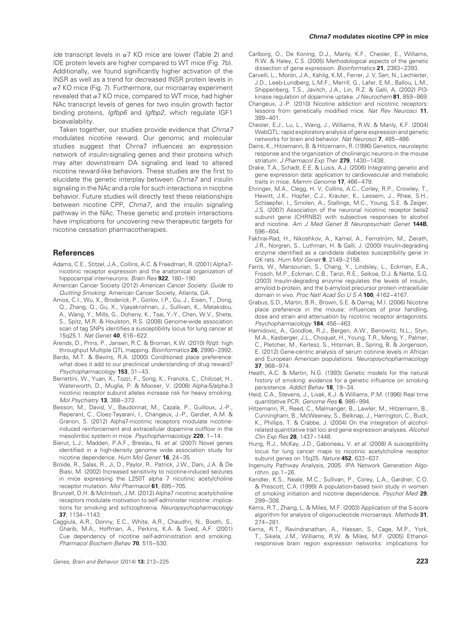Ide transcript levels in *α*7 KO mice are lower (Table 2) and IDE protein levels are higher compared to WT mice (Fig. 7b). Additionally, we found significantly higher activation of the INSR as well as a trend for decreased INSR protein levels in *α*7 KO mice (Fig. 7). Furthermore, our microarray experiment revealed that *α*7 KO mice, compared to WT mice, had higher NAc transcript levels of genes for two insulin growth factor binding proteins, *Igfbp6* and *Igfbp2*, which regulate IGF1 bioavailability.

Taken together, our studies provide evidence that Chrna7 modulates nicotine reward. Our genomic and molecular studies suggest that Chrna7 influences an expression network of insulin-signaling genes and their proteins which may alter downstream DA signaling and lead to altered nicotine reward-like behaviors. These studies are the first to elucidate the genetic interplay between Chrna7 and insulin signaling in the NAc and a role for such interactions in nicotine behavior. Future studies will directly test these relationships between nicotine CPP, Chrna7, and the insulin signaling pathway in the NAc. These genetic and protein interactions have implications for uncovering new therapeutic targets for nicotine cessation pharmacotherapies.

## **References**

- Adams, C.E., Stitzel, J.A., Collins, A.C. & Freedman, R. (2001) Alpha7 nicotinic receptor expression and the anatomical organization of hippocampal interneurons. Brain Res **922**, 180–190.
- American Cancer Society (2012) American Cancer Society: Guide to Quitting Smoking. American Cancer Society, Atlanta, GA.
- Amos, C.I., Wu, X., Broderick, P., Gorlov, I.P., Gu, J., Eisen, T., Dong, Q., Zhang, Q., Gu, X., Vijayakrishnan, J., Sullivan, K., Matakidou, A., Wang, Y., Mills, G., Doheny, K., Tsai, Y.-Y., Chen, W.V., Shete, S., Spitz, M.R. & Houlston, R.S. (2008) Genome-wide association scan of tag SNPs identifies a susceptibility locus for lung cancer at 15q25.1. Nat Genet **40**, 616–622.
- Arends, D., Prins, P., Jansen, R.C. & Broman, K.W. (2010) R/qtl: high throughput Multiple QTL mapping. Bioinformatics **26**, 2990–2992.
- Bardo, M.T. & Bevins, R.A. (2000) Conditioned place preference: what does it add to our preclinical understanding of drug reward? Psychopharmacology **153**, 31–43.
- Berrettini, W., Yuan, X., Tozzi, F., Song, K., Francks, C., Chilcoat, H., Waterworth, D., Muglia, P. & Mooser, V. (2008) Alpha-5/alpha-3 nicotinic receptor subunit alleles increase risk for heavy smoking. Mol Psychiatry **13**, 368–373.
- Besson, M., David, V., Baudonnat, M., Cazala, P., Guilloux, J.-P., Reperant, C., Cloez-Tayarani, I., Changeux, J.-P., Gardier, A.M. & Granon, S. (2012) Alpha7-nicotinic receptors modulate nicotineinduced reinforcement and extracellular dopamine outflow in the mesolimbic system in mice. Psychopharmacology **220**, 1–14.
- Bierut, L.J., Madden, P.A.F., Breslau, N. et al. (2007) Novel genes identified in a high-density genome wide association study for nicotine dependence. Hum Mol Genet **16**, 24–35.
- Broide, R., Salas, R., Ji, D., Paylor, R., Patrick, J.W., Dani, J.A. & De Biasi, M. (2002) Increased sensitivity to nicotine-induced seizures in mice expressing the L250T alpha 7 nicotinic acetylcholine receptor mutation. Mol Pharmacol **61**, 695–705.
- Brunzell, D.H. & McIntosh, J.M. (2012) Alpha7 nicotinic acetylcholine receptors modulate motivation to self-administer nicotine: implications for smoking and schizophrenia. Neuropsychopharmacology **37**, 1134–1143.
- Caggiula, A.R., Donny, E.C., White, A.R., Chaudhri, N., Booth, S., Gharib, M.A., Hoffman, A., Perkins, K.A. & Sved, A.F. (2001) Cue dependency of nicotine self-administration and smoking. Pharmacol Biochem Behav **70**, 515–530.

#### **Chrna7 modulates nicotine CPP in mice**

- Carlborg, O., De Koning, D.J., Manly, K.F., Chesler, E., Williams, R.W. & Haley, C.S. (2005) Methodological aspects of the genetic dissection of gene expression. Bioinformatics **21**, 2383–2393.
- Carvelli, L., Morón, J.A., Kahlig, K.M., Ferrer, J.V, Sen, N., Lechleiter, J.D., Leeb-Lundberg, L.M.F., Merrill, G., Lafer, E.M., Ballou, L.M., Shippenberg, T.S., Javitch, J.A., Lin, R.Z. & Galli, A. (2002) PI3 kinase regulation of dopamine uptake. J Neurochem **81**, 859–869.
- Changeux, J.-P. (2010) Nicotine addiction and nicotinic receptors: lessons from genetically modified mice. Nat Rev Neurosci **11**, 389–401.
- Chesler, E.J., Lu, L., Wang, J., Williams, R.W. & Manly, K.F. (2004) WebQTL: rapid exploratory analysis of gene expression and genetic networks for brain and behavior. Nat Neurosci **7**, 485–486.
- Dains, K., Hitzemann, B. & Hitzemann, R. (1996) Genetics, neuroleptic response and the organization of cholinergic neurons in the mouse striatum. J Pharmacol Exp Ther **279**, 1430–1438.
- Drake, T.A., Schadt, E.E. & Lusis, A.J. (2006) Integrating genetic and gene expression data: application to cardiovascular and metabolic traits in mice. Mamm Genome **17**, 466–479.
- Ehringer, M.A., Clegg, H. V, Collins, A.C., Corley, R.P., Crowley, T., Hewitt, J.K., Hopfer, C.J., Krauter, K., Lessem, J., Rhee, S.H., Schlaepfer, I., Smolen, A., Stallings, M.C., Young, S.E. & Zeiger, J.S. (2007) Association of the neuronal nicotinic receptor beta2 subunit gene (CHRNB2) with subjective responses to alcohol and nicotine. Am J Med Genet B Neuropsychiatr Genet **144B**, 596–604.
- Fakhrai-Rad, H., Nikoshkov, A., Kamel, A., Fernström, M., Zierath, J.R., Norgren, S., Luthman, H. & Galli, J. (2000) Insulin-degrading enzyme identified as a candidate diabetes susceptibility gene in GK rats. Hum Mol Genet **9**, 2149–2158.
- Farris, W., Mansourian, S., Chang, Y., Lindsley, L., Eckman, E.A., Frosch, M.P., Eckman, C.B., Tanzi, R.E., Selkoe, D.J. & Nette, S.G. (2003) Insulin-degrading enzyme regulates the levels of insulin, amyloid b-protein, and the b-amyloid precursor protein intracellular domain in vivo. Proc Natl Acad Sci U S A **100**, 4162–4167.
- Grabus, S.D., Martin, B.R., Brown, S.E. & Damaj, M.I. (2006) Nicotine place preference in the mouse: influences of prior handling, dose and strain and attenuation by nicotinic receptor antagonists. Psychopharmacology **184**, 456–463.
- Hamidovic, A., Goodloe, R.J., Bergen, A.W., Benowitz, N.L., Styn, M.A., Kasberger, J.L., Choquet, H., Young, T.R., Meng, Y., Palmer, C., Pletcher, M., Kertesz, S., Hitsman, B., Spring, B. & Jorgenson, E. (2012) Gene-centric analysis of serum cotinine levels in African and European American populations. Neuropsychopharmacology **37**, 968–974.
- Heath, A.C. & Martin, N.G. (1993) Genetic models for the natural history of smoking: evidence for a genetic influence on smoking persistence. Addict Behav **18**, 19–34.
- Heid, C.A., Stevens, J., Livak, K.J. & Williams, P.M. (1996) Real time quantitative PCR. Genome Res **6**, 986–994.
- Hitzemann, R., Reed, C., Malmanger, B., Lawler, M., Hitzemann, B., Cunningham, B., McWeeney, S., Belknap, J., Harrington, C., Buck, K., Phillips, T. & Crabbe, J. (2004) On the integration of alcoholrelated quantitative trait loci and gene expression analyses. Alcohol Clin Exp Res **28**, 1437–1448.
- Hung, R.J., McKay, J.D., Gaborieau, V. et al. (2008) A susceptibility locus for lung cancer maps to nicotinic acetylcholine receptor subunit genes on 15q25. Nature **452**, 633–637.
- Ingenuity Pathway Analysis, 2005. IPA Network Generation Algorithm. pp.1–26.
- Kendler, K.S., Neale, M.C., Sullivan, P., Corey, L.A., Gardner, C.O. & Prescott, C.A. (1999) A population-based twin study in women of smoking initiation and nicotine dependence. Psychol Med **29**, 299–308.
- Kerns, R.T., Zhang, L. & Miles, M.F. (2003) Application of the S-score algorithm for analysis of oligonucleotide microarrays. Methods **31**, 274–281.
- Kerns, R.T., Ravindranathan, A., Hassan, S., Cage, M.P., York, T., Sikela, J.M., Williams, R.W. & Miles, M.F. (2005) Ethanolresponsive brain region expression networks: implications for

Genes, Brain and Behavior (2014) **13:** 213–225 **223**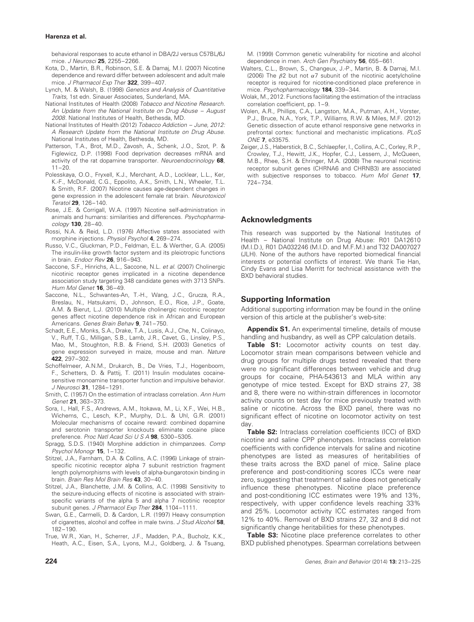behavioral responses to acute ethanol in DBA/2J versus C57BL/6J mice. J Neurosci **25**, 2255–2266.

- Kota, D., Martin, B.R., Robinson, S.E. & Damaj, M.I. (2007) Nicotine dependence and reward differ between adolescent and adult male mice. J Pharmacol Exp Ther **322**, 399–407.
- Lynch, M. & Walsh, B. (1998) Genetics and Analysis of Quantitative Traits, 1st edn. Sinauer Associates, Sunderland, MA.
- National Institutes of Health (2008) Tobacco and Nicotine Research. An Update from the National Institute on Drug Abuse – August 2008. National Institutes of Health, Bethesda, MD.
- National Institutes of Health (2012) Tobacco Addiction June, 2012: A Research Update from the National Institute on Drug Abuse. National Institutes of Health, Bethesda, MD.
- Patterson, T.A., Brot, M.D., Zavosh, A., Schenk, J.O., Szot, P. & Figlewicz, D.P. (1998) Food deprivation decreases mRNA and activity of the rat dopamine transporter. Neuroendocrinology **68**,  $11 - 20.$
- Polesskaya, O.O., Fryxell, K.J., Merchant, A.D., Locklear, L.L., Ker, K.-F., McDonald, C.G., Eppolito, A.K., Smith, L.N., Wheeler, T.L. & Smith, R.F. (2007) Nicotine causes age-dependent changes in gene expression in the adolescent female rat brain. Neurotoxicol Teratol **29**, 126–140.
- Rose, J.E. & Corrigall, W.A. (1997) Nicotine self-administration in animals and humans: similarities and differences. Psychopharmacology **130**, 28–40.
- Rossi, N.A. & Reid, L.D. (1976) Affective states associated with morphine injections. Physiol Psychol **4**, 269–274.
- Russo, V.C., Gluckman, P.D., Feldman, E.L. & Werther, G.A. (2005) The insulin-like growth factor system and its pleiotropic functions in brain. Endocr Rev **26**, 916–943.
- Saccone, S.F., Hinrichs, A.L., Saccone, N.L. et al. (2007) Cholinergic nicotinic receptor genes implicated in a nicotine dependence association study targeting 348 candidate genes with 3713 SNPs. Hum Mol Genet **16**, 36–49.
- Saccone, N.L., Schwantes-An, T.-H., Wang, J.C., Grucza, R.A., Breslau, N., Hatsukami, D., Johnson, E.O., Rice, J.P., Goate, A.M. & Bierut, L.J. (2010) Multiple cholinergic nicotinic receptor genes affect nicotine dependence risk in African and European Americans. Genes Brain Behav **9**, 741–750.
- Schadt, E.E., Monks, S.A., Drake, T.A., Lusis, A.J., Che, N., Colinayo, V., Ruff, T.G., Milligan, S.B., Lamb, J.R., Cavet, G., Linsley, P.S., Mao, M., Stoughton, R.B. & Friend, S.H. (2003) Genetics of gene expression surveyed in maize, mouse and man. Nature **422**, 297–302.
- Schoffelmeer, A.N.M., Drukarch, B., De Vries, T.J., Hogenboom, F., Schetters, D. & Pattij, T. (2011) Insulin modulates cocainesensitive monoamine transporter function and impulsive behavior. J Neurosci **31**, 1284–1291.
- Smith, C. (1957) On the estimation of intraclass correlation. Ann Hum Genet **21**, 363–373.
- Sora, I., Hall, F.S., Andrews, A.M., Itokawa, M., Li, X.F., Wei, H.B., Wichems, C., Lesch, K.P., Murphy, D.L. & Uhl, G.R. (2001) Molecular mechanisms of cocaine reward: combined dopamine and serotonin transporter knockouts eliminate cocaine place preference. Proc Natl Acad Sci U S A **98**, 5300–5305.
- Spragg, S.D.S. (1940) Morphine addiction in chimpanzees. Comp Psychol Monogr **15**, 1–132.
- Stitzel, J.A., Farnham, D.A. & Collins, A.C. (1996) Linkage of strainspecific nicotinic receptor alpha 7 subunit restriction fragment length polymorphisms with levels of alpha-bungarotoxin binding in brain. Brain Res Mol Brain Res **43**, 30–40.
- Stitzel, J.A., Blanchette, J.M. & Collins, A.C. (1998) Sensitivity to the seizure-inducing effects of nicotine is associated with strainspecific variants of the alpha 5 and alpha 7 nicotinic receptor subunit genes. J Pharmacol Exp Ther **284**, 1104–1111.
- Swan, G.E., Carmelli, D. & Cardon, L.R. (1997) Heavy consumption of cigarettes, alcohol and coffee in male twins. J Stud Alcohol **58**, 182–190.
- True, W.R., Xian, H., Scherrer, J.F., Madden, P.A., Bucholz, K.K., Heath, A.C., Eisen, S.A., Lyons, M.J., Goldberg, J. & Tsuang,

M. (1999) Common genetic vulnerability for nicotine and alcohol dependence in men. Arch Gen Psychiatry **56**, 655–661.

- Walters, C.L., Brown, S., Changeux, J.-P., Martin, B. & Damaj, M.I. (2006) The *β*2 but not *α*7 subunit of the nicotinic acetylcholine receptor is required for nicotine-conditioned place preference in mice. Psychopharmacology **184**, 339–344.
- Wolak, M., 2012. Functions facilitating the estimation of the intraclass correlation coefficient, pp. 1–9.
- Wolen, A.R., Phillips, C.A., Langston, M.A., Putman, A.H., Vorster, P.J., Bruce, N.A., York, T.P., Williams, R.W. & Miles, M.F. (2012) Genetic dissection of acute ethanol responsive gene networks in prefrontal cortex: functional and mechanistic implications. PLoS ONE **7**, e33575.
- Zeiger, J.S., Haberstick, B.C., Schlaepfer, I., Collins, A.C., Corley, R.P., Crowley, T.J., Hewitt, J.K., Hopfer, C.J., Lessem, J., McQueen, M.B., Rhee, S.H. & Ehringer, M.A. (2008) The neuronal nicotinic receptor subunit genes (CHRNA6 and CHRNB3) are associated with subjective responses to tobacco. Hum Mol Genet **17**, 724–734.

## **Acknowledgments**

This research was supported by the National Institutes of Health – National Institute on Drug Abuse: R01 DA12610 (M.I.D.), R01 DA032246 (M.I.D. and M.F.M.) and T32 DA007027 (JLH). None of the authors have reported biomedical financial interests or potential conflicts of interest. We thank Tie Han, Cindy Evans and Lisa Merritt for technical assistance with the BXD behavioral studies.

## **Supporting Information**

Additional supporting information may be found in the online version of this article at the publisher's web-site:

**Appendix S1.** An experimental timeline, details of mouse handling and husbandry, as well as CPP calculation details.

Table S1: Locomotor activity counts on test day. Locomotor strain mean comparisons between vehicle and drug groups for multiple drugs tested revealed that there were no significant differences between vehicle and drug groups for cocaine, PHA-543613 and MLA within any genotype of mice tested. Except for BXD strains 27, 38 and 8, there were no within-strain differences in locomotor activity counts on test day for mice previously treated with saline or nicotine. Across the BXD panel, there was no significant effect of nicotine on locomotor activity on test day.

**Table S2:** Intraclass correlation coefficients (ICC) of BXD nicotine and saline CPP phenotypes. Intraclass correlation coefficients with confidence intervals for saline and nicotine phenotypes are listed as measures of heritabilities of these traits across the BXD panel of mice. Saline place preference and post-conditioning scores ICCs were near zero, suggesting that treatment of saline does not genetically influence these phenotypes. Nicotine place preference and post-conditioning ICC estimates were 19% and 13%, respectively, with upper confidence levels reaching 33% and 25%. Locomotor activity ICC estimates ranged from 12% to 40%. Removal of BXD strains 27, 32 and 8 did not significantly change heritabilities for these phenotypes.

**Table S3:** Nicotine place preference correlates to other BXD published phenotypes. Spearman correlations between